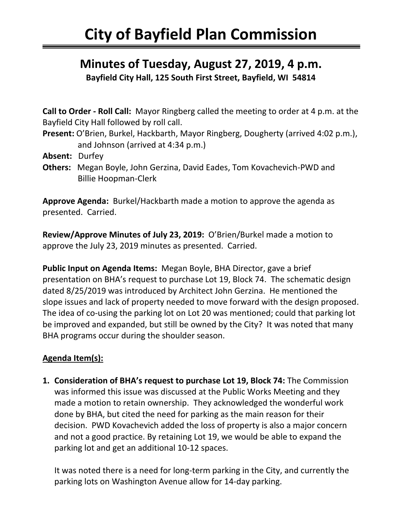## **Minutes of Tuesday, August 27, 2019, 4 p.m.**

**Bayfield City Hall, 125 South First Street, Bayfield, WI 54814**

**Call to Order - Roll Call:** Mayor Ringberg called the meeting to order at 4 p.m. at the Bayfield City Hall followed by roll call.

**Present:** O'Brien, Burkel, Hackbarth, Mayor Ringberg, Dougherty (arrived 4:02 p.m.), and Johnson (arrived at 4:34 p.m.)

- **Absent:** Durfey
- **Others:** Megan Boyle, John Gerzina, David Eades, Tom Kovachevich-PWD and Billie Hoopman-Clerk

**Approve Agenda:** Burkel/Hackbarth made a motion to approve the agenda as presented. Carried.

**Review/Approve Minutes of July 23, 2019:** O'Brien/Burkel made a motion to approve the July 23, 2019 minutes as presented. Carried.

**Public Input on Agenda Items:** Megan Boyle, BHA Director, gave a brief presentation on BHA's request to purchase Lot 19, Block 74. The schematic design dated 8/25/2019 was introduced by Architect John Gerzina. He mentioned the slope issues and lack of property needed to move forward with the design proposed. The idea of co-using the parking lot on Lot 20 was mentioned; could that parking lot be improved and expanded, but still be owned by the City? It was noted that many BHA programs occur during the shoulder season.

## **Agenda Item(s):**

**1. Consideration of BHA's request to purchase Lot 19, Block 74:** The Commission was informed this issue was discussed at the Public Works Meeting and they made a motion to retain ownership. They acknowledged the wonderful work done by BHA, but cited the need for parking as the main reason for their decision. PWD Kovachevich added the loss of property is also a major concern and not a good practice. By retaining Lot 19, we would be able to expand the parking lot and get an additional 10-12 spaces.

It was noted there is a need for long-term parking in the City, and currently the parking lots on Washington Avenue allow for 14-day parking.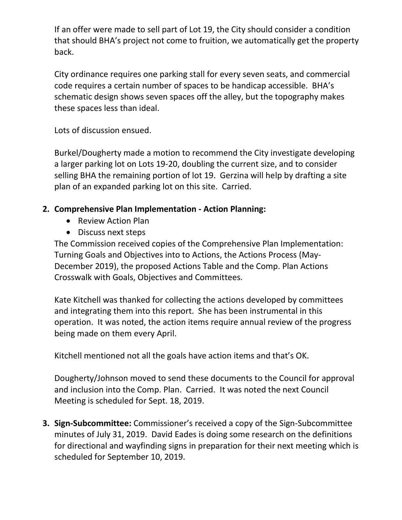If an offer were made to sell part of Lot 19, the City should consider a condition that should BHA's project not come to fruition, we automatically get the property back.

City ordinance requires one parking stall for every seven seats, and commercial code requires a certain number of spaces to be handicap accessible. BHA's schematic design shows seven spaces off the alley, but the topography makes these spaces less than ideal.

Lots of discussion ensued.

Burkel/Dougherty made a motion to recommend the City investigate developing a larger parking lot on Lots 19-20, doubling the current size, and to consider selling BHA the remaining portion of lot 19. Gerzina will help by drafting a site plan of an expanded parking lot on this site. Carried.

## **2. Comprehensive Plan Implementation - Action Planning:**

- Review Action Plan
- Discuss next steps

The Commission received copies of the Comprehensive Plan Implementation: Turning Goals and Objectives into to Actions, the Actions Process (May-December 2019), the proposed Actions Table and the Comp. Plan Actions Crosswalk with Goals, Objectives and Committees.

Kate Kitchell was thanked for collecting the actions developed by committees and integrating them into this report. She has been instrumental in this operation. It was noted, the action items require annual review of the progress being made on them every April.

Kitchell mentioned not all the goals have action items and that's OK.

Dougherty/Johnson moved to send these documents to the Council for approval and inclusion into the Comp. Plan. Carried. It was noted the next Council Meeting is scheduled for Sept. 18, 2019.

**3. Sign-Subcommittee:** Commissioner's received a copy of the Sign-Subcommittee minutes of July 31, 2019. David Eades is doing some research on the definitions for directional and wayfinding signs in preparation for their next meeting which is scheduled for September 10, 2019.